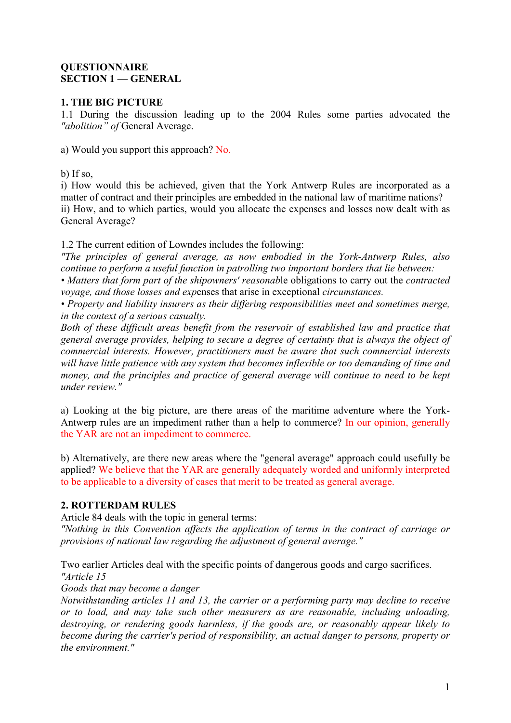## **QUESTIONNAIRE SECTION 1 — GENERAL**

## **1. THE BIG PICTURE**

1.1 During the discussion leading up to the 2004 Rules some parties advocated the *"abolition" of* General Average.

a) Would you support this approach? No.

b) If so,

i) How would this be achieved, given that the York Antwerp Rules are incorporated as a matter of contract and their principles are embedded in the national law of maritime nations? ii) How, and to which parties, would you allocate the expenses and losses now dealt with as General Average?

1.2 The current edition of Lowndes includes the following:

*"The principles of general average, as now embodied in the York-Antwerp Rules, also continue to perform a useful function in patrolling two important borders that lie between:*

*• Matters that form part of the shipowners' reasonab*le obligations to carry out the *contracted voyage, and those losses and exp*enses that arise in exceptional *circumstances.*

*• Property and liability insurers as their differing responsibilities meet and sometimes merge, in the context of a serious casualty.*

*Both of these difficult areas benefit from the reservoir of established law and practice that general average provides, helping to secure a degree of certainty that is always the object of commercial interests. However, practitioners must be aware that such commercial interests will have little patience with any system that becomes inflexible or too demanding of time and money, and the principles and practice of general average will continue to need to be kept under review."*

a) Looking at the big picture, are there areas of the maritime adventure where the York-Antwerp rules are an impediment rather than a help to commerce? In our opinion, generally the YAR are not an impediment to commerce.

b) Alternatively, are there new areas where the "general average" approach could usefully be applied? We believe that the YAR are generally adequately worded and uniformly interpreted to be applicable to a diversity of cases that merit to be treated as general average.

# **2. ROTTERDAM RULES**

Article 84 deals with the topic in general terms:

*"Nothing in this Convention affects the application of terms in the contract of carriage or provisions of national law regarding the adjustment of general average."*

Two earlier Articles deal with the specific points of dangerous goods and cargo sacrifices. *"Article 15*

*Goods that may become a danger*

*Notwithstanding articles 11 and 13, the carrier or a performing party may decline to receive or to load, and may take such other measurers as are reasonable, including unloading, destroying, or rendering goods harmless, if the goods are, or reasonably appear likely to become during the carrier's period of responsibility, an actual danger to persons, property or the environment."*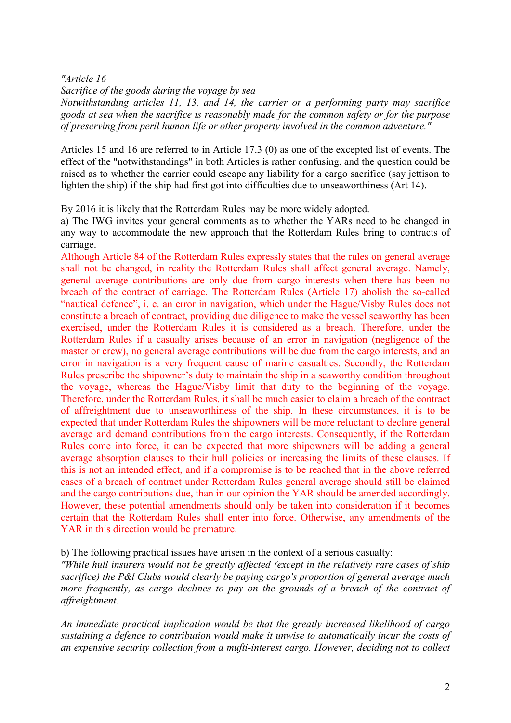#### *"Article 16*

*Sacrifice of the goods during the voyage by sea*

*Notwithstanding articles 11, 13, and 14, the carrier or a performing party may sacrifice goods at sea when the sacrifice is reasonably made for the common safety or for the purpose of preserving from peril human life or other property involved in the common adventure."*

Articles 15 and 16 are referred to in Article 17.3 (0) as one of the excepted list of events. The effect of the "notwithstandings" in both Articles is rather confusing, and the question could be raised as to whether the carrier could escape any liability for a cargo sacrifice (say jettison to lighten the ship) if the ship had first got into difficulties due to unseaworthiness (Art 14).

By 2016 it is likely that the Rotterdam Rules may be more widely adopted.

a) The IWG invites your general comments as to whether the YARs need to be changed in any way to accommodate the new approach that the Rotterdam Rules bring to contracts of carriage.

Although Article 84 of the Rotterdam Rules expressly states that the rules on general average shall not be changed, in reality the Rotterdam Rules shall affect general average. Namely, general average contributions are only due from cargo interests when there has been no breach of the contract of carriage. The Rotterdam Rules (Article 17) abolish the so-called "nautical defence", i. e. an error in navigation, which under the Hague/Visby Rules does not constitute a breach of contract, providing due diligence to make the vessel seaworthy has been exercised, under the Rotterdam Rules it is considered as a breach. Therefore, under the Rotterdam Rules if a casualty arises because of an error in navigation (negligence of the master or crew), no general average contributions will be due from the cargo interests, and an error in navigation is a very frequent cause of marine casualties. Secondly, the Rotterdam Rules prescribe the shipowner's duty to maintain the ship in a seaworthy condition throughout the voyage, whereas the Hague/Visby limit that duty to the beginning of the voyage. Therefore, under the Rotterdam Rules, it shall be much easier to claim a breach of the contract of affreightment due to unseaworthiness of the ship. In these circumstances, it is to be expected that under Rotterdam Rules the shipowners will be more reluctant to declare general average and demand contributions from the cargo interests. Consequently, if the Rotterdam Rules come into force, it can be expected that more shipowners will be adding a general average absorption clauses to their hull policies or increasing the limits of these clauses. If this is not an intended effect, and if a compromise is to be reached that in the above referred cases of a breach of contract under Rotterdam Rules general average should still be claimed and the cargo contributions due, than in our opinion the YAR should be amended accordingly. However, these potential amendments should only be taken into consideration if it becomes certain that the Rotterdam Rules shall enter into force. Otherwise, any amendments of the YAR in this direction would be premature.

b) The following practical issues have arisen in the context of a serious casualty:

*"While hull insurers would not be greatly affected (except in the relatively rare cases of ship sacrifice) the P&l Clubs would clearly be paying cargo's proportion of general average much more frequently, as cargo declines to pay on the grounds of a breach of the contract of affreightment.*

*An immediate practical implication would be that the greatly increased likelihood of cargo sustaining a defence to contribution would make it unwise to automatically incur the costs of an expensive security collection from a mufti-interest cargo. However, deciding not to collect*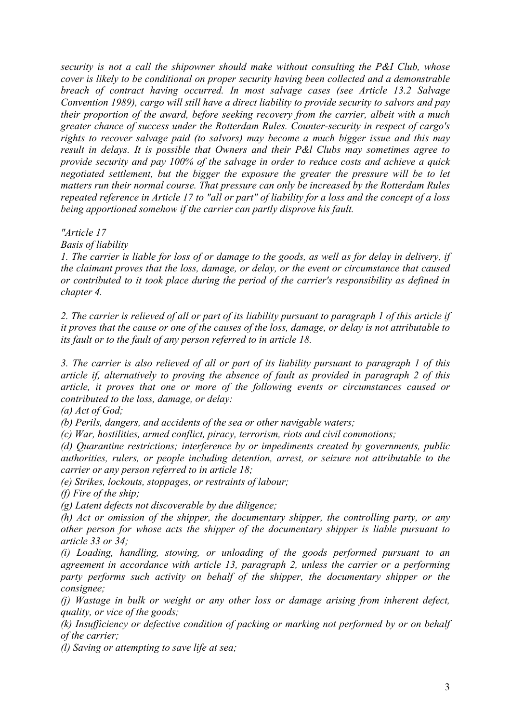*security is not a call the shipowner should make without consulting the P&I Club, whose cover is likely to be conditional on proper security having been collected and a demonstrable breach of contract having occurred. In most salvage cases (see Article 13.2 Salvage Convention 1989), cargo will still have a direct liability to provide security to salvors and pay their proportion of the award, before seeking recovery from the carrier, albeit with a much greater chance of success under the Rotterdam Rules. Counter-security in respect of cargo's rights to recover salvage paid (to salvors) may become a much bigger issue and this may result in delays. It is possible that Owners and their P&l Clubs may sometimes agree to provide security and pay 100% of the salvage in order to reduce costs and achieve a quick negotiated settlement, but the bigger the exposure the greater the pressure will be to let matters run their normal course. That pressure can only be increased by the Rotterdam Rules repeated reference in Article 17 to "all or part" of liability for a loss and the concept of a loss being apportioned somehow if the carrier can partly disprove his fault.*

*"Article 17*

*Basis of liability*

*1. The carrier is liable for loss of or damage to the goods, as well as for delay in delivery, if the claimant proves that the loss, damage, or delay, or the event or circumstance that caused or contributed to it took place during the period of the carrier's responsibility as defined in chapter 4.*

*2. The carrier is relieved of all or part of its liability pursuant to paragraph 1 of this article if it proves that the cause or one of the causes of the loss, damage, or delay is not attributable to its fault or to the fault of any person referred to in article 18.*

*3. The carrier is also relieved of all or part of its liability pursuant to paragraph 1 of this article if, alternatively to proving the absence of fault as provided in paragraph 2 of this article, it proves that one or more of the following events or circumstances caused or contributed to the loss, damage, or delay:*

*(a) Act of God;*

*(b) Perils, dangers, and accidents of the sea or other navigable waters;*

*(c) War, hostilities, armed conflict, piracy, terrorism, riots and civil commotions;*

*(d) Quarantine restrictions; interference by or impediments created by governments, public authorities, rulers, or people including detention, arrest, or seizure not attributable to the carrier or any person referred to in article 18;*

*(e) Strikes, lockouts, stoppages, or restraints of labour;*

*(f) Fire of the ship;*

*(g) Latent defects not discoverable by due diligence;*

*(h) Act or omission of the shipper, the documentary shipper, the controlling party, or any other person for whose acts the shipper of the documentary shipper is liable pursuant to article 33 or 34;* 

*(i) Loading, handling, stowing, or unloading of the goods performed pursuant to an agreement in accordance with article 13, paragraph 2, unless the carrier or a performing party performs such activity on behalf of the shipper, the documentary shipper or the consignee;*

*(j) Wastage in bulk or weight or any other loss or damage arising from inherent defect, quality, or vice of the goods;*

*(k) Insufficiency or defective condition of packing or marking not performed by or on behalf of the carrier;*

*(l) Saving or attempting to save life at sea;*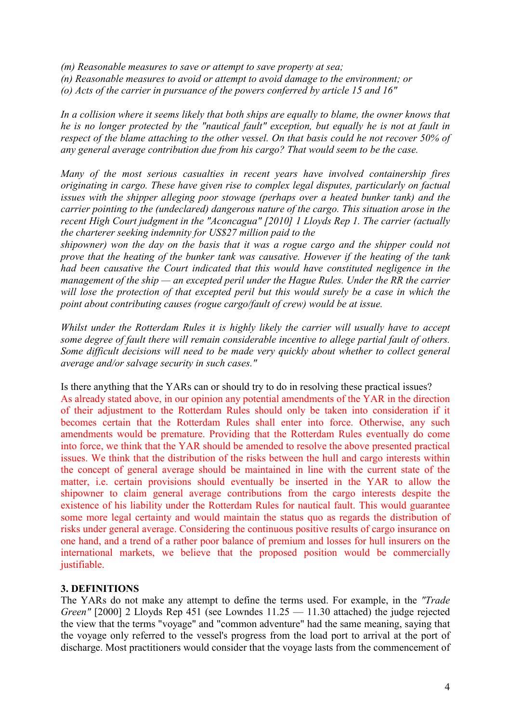- *(m) Reasonable measures to save or attempt to save property at sea;*
- *(n) Reasonable measures to avoid or attempt to avoid damage to the environment; or*
- *(o) Acts of the carrier in pursuance of the powers conferred by article 15 and 16"*

*In a collision where it seems likely that both ships are equally to blame, the owner knows that he is no longer protected by the "nautical fault" exception, but equally he is not at fault in respect of the blame attaching to the other vessel. On that basis could he not recover 50% of any general average contribution due from his cargo? That would seem to be the case.*

*Many of the most serious casualties in recent years have involved containership fires originating in cargo. These have given rise to complex legal disputes, particularly on factual issues with the shipper alleging poor stowage (perhaps over a heated bunker tank) and the carrier pointing to the (undeclared) dangerous nature of the cargo. This situation arose in the recent High Court judgment in the "Aconcagua" [2010] 1 Lloyds Rep 1. The carrier (actually the charterer seeking indemnity for US\$27 million paid to the*

*shipowner) won the day on the basis that it was a rogue cargo and the shipper could not prove that the heating of the bunker tank was causative. However if the heating of the tank had been causative the Court indicated that this would have constituted negligence in the management of the ship — an excepted peril under the Hague Rules. Under the RR the carrier will lose the protection of that excepted peril but this would surely be a case in which the point about contributing causes (rogue cargo/fault of crew) would be at issue.*

*Whilst under the Rotterdam Rules it is highly likely the carrier will usually have to accept some degree of fault there will remain considerable incentive to allege partial fault of others. Some difficult decisions will need to be made very quickly about whether to collect general average and/or salvage security in such cases."*

Is there anything that the YARs can or should try to do in resolving these practical issues? As already stated above, in our opinion any potential amendments of the YAR in the direction of their adjustment to the Rotterdam Rules should only be taken into consideration if it becomes certain that the Rotterdam Rules shall enter into force. Otherwise, any such amendments would be premature. Providing that the Rotterdam Rules eventually do come into force, we think that the YAR should be amended to resolve the above presented practical issues. We think that the distribution of the risks between the hull and cargo interests within the concept of general average should be maintained in line with the current state of the matter, i.e. certain provisions should eventually be inserted in the YAR to allow the shipowner to claim general average contributions from the cargo interests despite the existence of his liability under the Rotterdam Rules for nautical fault. This would guarantee some more legal certainty and would maintain the status quo as regards the distribution of risks under general average. Considering the continuous positive results of cargo insurance on one hand, and a trend of a rather poor balance of premium and losses for hull insurers on the international markets, we believe that the proposed position would be commercially justifiable.

### **3. DEFINITIONS**

The YARs do not make any attempt to define the terms used. For example, in the *"Trade Green"* [2000] 2 Lloyds Rep 451 (see Lowndes 11.25 — 11.30 attached) the judge rejected the view that the terms "voyage" and "common adventure" had the same meaning, saying that the voyage only referred to the vessel's progress from the load port to arrival at the port of discharge. Most practitioners would consider that the voyage lasts from the commencement of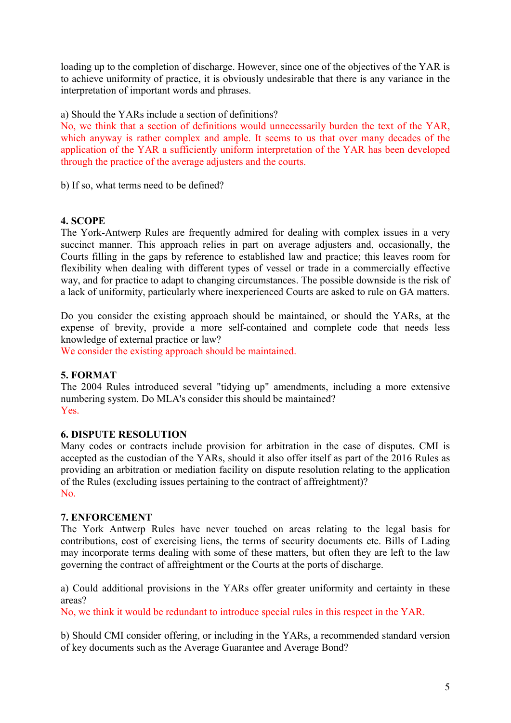loading up to the completion of discharge. However, since one of the objectives of the YAR is to achieve uniformity of practice, it is obviously undesirable that there is any variance in the interpretation of important words and phrases.

a) Should the YARs include a section of definitions?

No, we think that a section of definitions would unnecessarily burden the text of the YAR, which anyway is rather complex and ample. It seems to us that over many decades of the application of the YAR a sufficiently uniform interpretation of the YAR has been developed through the practice of the average adjusters and the courts.

b) If so, what terms need to be defined?

### **4. SCOPE**

The York-Antwerp Rules are frequently admired for dealing with complex issues in a very succinct manner. This approach relies in part on average adjusters and, occasionally, the Courts filling in the gaps by reference to established law and practice; this leaves room for flexibility when dealing with different types of vessel or trade in a commercially effective way, and for practice to adapt to changing circumstances. The possible downside is the risk of a lack of uniformity, particularly where inexperienced Courts are asked to rule on GA matters.

Do you consider the existing approach should be maintained, or should the YARs, at the expense of brevity, provide a more self-contained and complete code that needs less knowledge of external practice or law?

We consider the existing approach should be maintained.

### **5. FORMAT**

The 2004 Rules introduced several "tidying up" amendments, including a more extensive numbering system. Do MLA's consider this should be maintained? Yes.

### **6. DISPUTE RESOLUTION**

Many codes or contracts include provision for arbitration in the case of disputes. CMI is accepted as the custodian of the YARs, should it also offer itself as part of the 2016 Rules as providing an arbitration or mediation facility on dispute resolution relating to the application of the Rules (excluding issues pertaining to the contract of affreightment)? No.

#### **7. ENFORCEMENT**

The York Antwerp Rules have never touched on areas relating to the legal basis for contributions, cost of exercising liens, the terms of security documents etc. Bills of Lading may incorporate terms dealing with some of these matters, but often they are left to the law governing the contract of affreightment or the Courts at the ports of discharge.

a) Could additional provisions in the YARs offer greater uniformity and certainty in these areas?

No, we think it would be redundant to introduce special rules in this respect in the YAR.

b) Should CMI consider offering, or including in the YARs, a recommended standard version of key documents such as the Average Guarantee and Average Bond?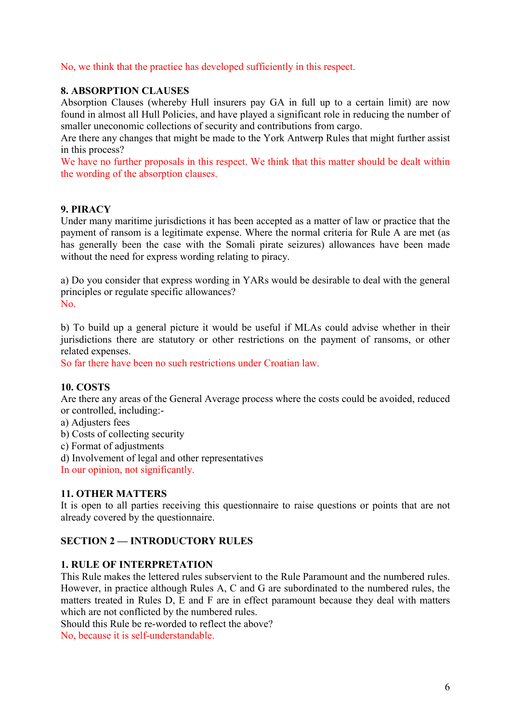No, we think that the practice has developed sufficiently in this respect.

# **8. ABSORPTION CLAUSES**

Absorption Clauses (whereby Hull insurers pay GA in full up to a certain limit) are now found in almost all Hull Policies, and have played a significant role in reducing the number of smaller uneconomic collections of security and contributions from cargo.

Are there any changes that might be made to the York Antwerp Rules that might further assist in this process?

We have no further proposals in this respect. We think that this matter should be dealt within the wording of the absorption clauses.

## **9. PIRACY**

Under many maritime jurisdictions it has been accepted as a matter of law or practice that the payment of ransom is a legitimate expense. Where the normal criteria for Rule A are met (as has generally been the case with the Somali pirate seizures) allowances have been made without the need for express wording relating to piracy.

a) Do you consider that express wording in YARs would be desirable to deal with the general principles or regulate specific allowances? No.

b) To build up a general picture it would be useful if MLAs could advise whether in their jurisdictions there are statutory or other restrictions on the payment of ransoms, or other related expenses.

So far there have been no such restrictions under Croatian law.

### **10. COSTS**

Are there any areas of the General Average process where the costs could be avoided, reduced or controlled, including:-

a) Adjusters fees

b) Costs of collecting security

c) Format of adjustments

d) Involvement of legal and other representatives

In our opinion, not significantly.

### **11. OTHER MATTERS**

It is open to all parties receiving this questionnaire to raise questions or points that are not already covered by the questionnaire.

### **SECTION 2 — INTRODUCTORY RULES**

### **1. RULE OF INTERPRETATION**

This Rule makes the lettered rules subservient to the Rule Paramount and the numbered rules. However, in practice although Rules A, C and G are subordinated to the numbered rules, the matters treated in Rules D, E and F are in effect paramount because they deal with matters which are not conflicted by the numbered rules.

Should this Rule be re-worded to reflect the above?

No, because it is self-understandable.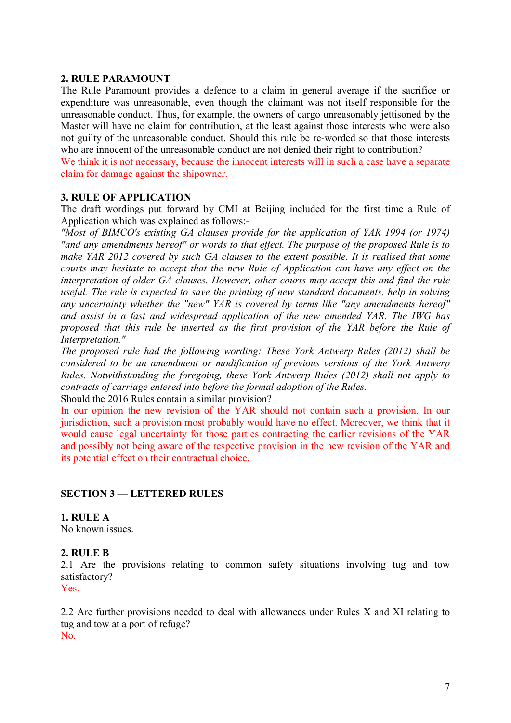#### **2. RULE PARAMOUNT**

The Rule Paramount provides a defence to a claim in general average if the sacrifice or expenditure was unreasonable, even though the claimant was not itself responsible for the unreasonable conduct. Thus, for example, the owners of cargo unreasonably jettisoned by the Master will have no claim for contribution, at the least against those interests who were also not guilty of the unreasonable conduct. Should this rule be re-worded so that those interests who are innocent of the unreasonable conduct are not denied their right to contribution?

We think it is not necessary, because the innocent interests will in such a case have a separate claim for damage against the shipowner.

#### **3. RULE OF APPLICATION**

The draft wordings put forward by CMI at Beijing included for the first time a Rule of Application which was explained as follows:-

*"Most of BIMCO's existing GA clauses provide for the application of YAR 1994 (or 1974) "and any amendments hereof" or words to that effect. The purpose of the proposed Rule is to make YAR 2012 covered by such GA clauses to the extent possible. It is realised that some courts may hesitate to accept that the new Rule of Application can have any effect on the interpretation of older GA clauses. However, other courts may accept this and find the rule useful. The rule is expected to save the printing of new standard documents, help in solving any uncertainty whether the "new" YAR is covered by terms like "any amendments hereof" and assist in a fast and widespread application of the new amended YAR. The IWG has proposed that this rule be inserted as the first provision of the YAR before the Rule of Interpretation."*

*The proposed rule had the following wording: These York Antwerp Rules (2012) shall be considered to be an amendment or modification of previous versions of the York Antwerp Rules. Notwithstanding the foregoing, these York Antwerp Rules (2012) shall not apply to contracts of carriage entered into before the formal adoption of the Rules.*

Should the 2016 Rules contain a similar provision?

In our opinion the new revision of the YAR should not contain such a provision. In our jurisdiction, such a provision most probably would have no effect. Moreover, we think that it would cause legal uncertainty for those parties contracting the earlier revisions of the YAR and possibly not being aware of the respective provision in the new revision of the YAR and its potential effect on their contractual choice.

### **SECTION 3 — LETTERED RULES**

**1. RULE A** No known issues.

### **2. RULE B**

2.1 Are the provisions relating to common safety situations involving tug and tow satisfactory?

Yes.

2.2 Are further provisions needed to deal with allowances under Rules X and XI relating to tug and tow at a port of refuge? No.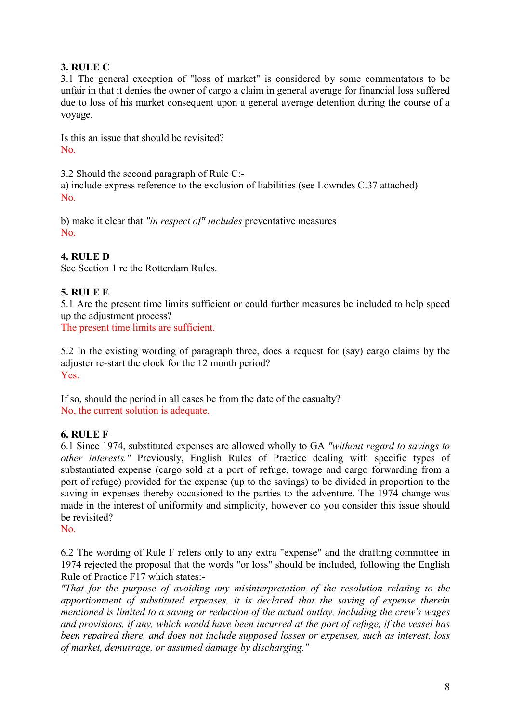# **3. RULE C**

3.1 The general exception of "loss of market" is considered by some commentators to be unfair in that it denies the owner of cargo a claim in general average for financial loss suffered due to loss of his market consequent upon a general average detention during the course of a voyage.

Is this an issue that should be revisited? No.

3.2 Should the second paragraph of Rule C:-

a) include express reference to the exclusion of liabilities (see Lowndes C.37 attached) No.

b) make it clear that *"in respect of" includes* preventative measures No.

# **4. RULE D**

See Section 1 re the Rotterdam Rules.

# **5. RULE E**

5.1 Are the present time limits sufficient or could further measures be included to help speed up the adjustment process?

The present time limits are sufficient.

5.2 In the existing wording of paragraph three, does a request for (say) cargo claims by the adjuster re-start the clock for the 12 month period? Yes.

If so, should the period in all cases be from the date of the casualty? No, the current solution is adequate.

# **6. RULE F**

6.1 Since 1974, substituted expenses are allowed wholly to GA *"without regard to savings to other interests."* Previously, English Rules of Practice dealing with specific types of substantiated expense (cargo sold at a port of refuge, towage and cargo forwarding from a port of refuge) provided for the expense (up to the savings) to be divided in proportion to the saving in expenses thereby occasioned to the parties to the adventure. The 1974 change was made in the interest of uniformity and simplicity, however do you consider this issue should be revisited?

No.

6.2 The wording of Rule F refers only to any extra "expense" and the drafting committee in 1974 rejected the proposal that the words "or loss" should be included, following the English Rule of Practice F17 which states:-

*"That for the purpose of avoiding any misinterpretation of the resolution relating to the apportionment of substituted expenses, it is declared that the saving of expense therein mentioned is limited to a saving or reduction of the actual outlay, including the crew's wages and provisions, if any, which would have been incurred at the port of refuge, if the vessel has been repaired there, and does not include supposed losses or expenses, such as interest, loss of market, demurrage, or assumed damage by discharging."*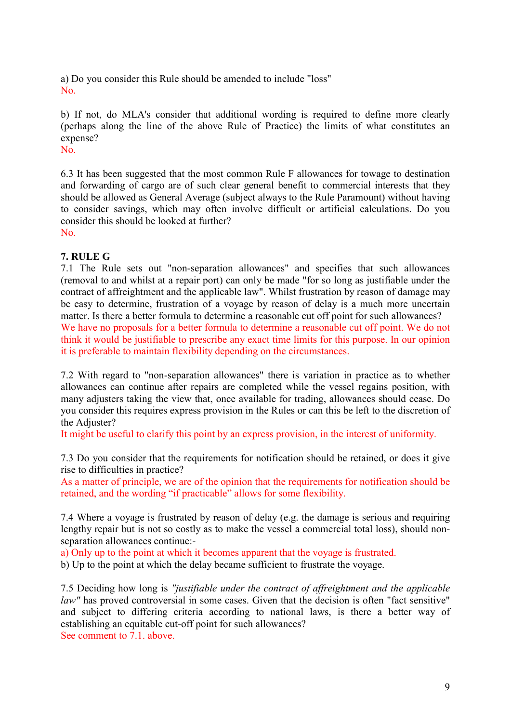a) Do you consider this Rule should be amended to include "loss" No.

b) If not, do MLA's consider that additional wording is required to define more clearly (perhaps along the line of the above Rule of Practice) the limits of what constitutes an expense?

No.

6.3 It has been suggested that the most common Rule F allowances for towage to destination and forwarding of cargo are of such clear general benefit to commercial interests that they should be allowed as General Average (subject always to the Rule Paramount) without having to consider savings, which may often involve difficult or artificial calculations. Do you consider this should be looked at further? No.

## **7. RULE G**

7.1 The Rule sets out "non-separation allowances" and specifies that such allowances (removal to and whilst at a repair port) can only be made "for so long as justifiable under the contract of affreightment and the applicable law". Whilst frustration by reason of damage may be easy to determine, frustration of a voyage by reason of delay is a much more uncertain matter. Is there a better formula to determine a reasonable cut off point for such allowances? We have no proposals for a better formula to determine a reasonable cut off point. We do not think it would be justifiable to prescribe any exact time limits for this purpose. In our opinion it is preferable to maintain flexibility depending on the circumstances.

7.2 With regard to "non-separation allowances" there is variation in practice as to whether allowances can continue after repairs are completed while the vessel regains position, with many adjusters taking the view that, once available for trading, allowances should cease. Do you consider this requires express provision in the Rules or can this be left to the discretion of the Adjuster?

It might be useful to clarify this point by an express provision, in the interest of uniformity.

7.3 Do you consider that the requirements for notification should be retained, or does it give rise to difficulties in practice?

As a matter of principle, we are of the opinion that the requirements for notification should be retained, and the wording "if practicable" allows for some flexibility.

7.4 Where a voyage is frustrated by reason of delay (e.g. the damage is serious and requiring lengthy repair but is not so costly as to make the vessel a commercial total loss), should nonseparation allowances continue:-

a) Only up to the point at which it becomes apparent that the voyage is frustrated.

b) Up to the point at which the delay became sufficient to frustrate the voyage.

7.5 Deciding how long is *"justifiable under the contract of affreightment and the applicable law*" has proved controversial in some cases. Given that the decision is often "fact sensitive" and subject to differing criteria according to national laws, is there a better way of establishing an equitable cut-off point for such allowances? See comment to 7.1. above.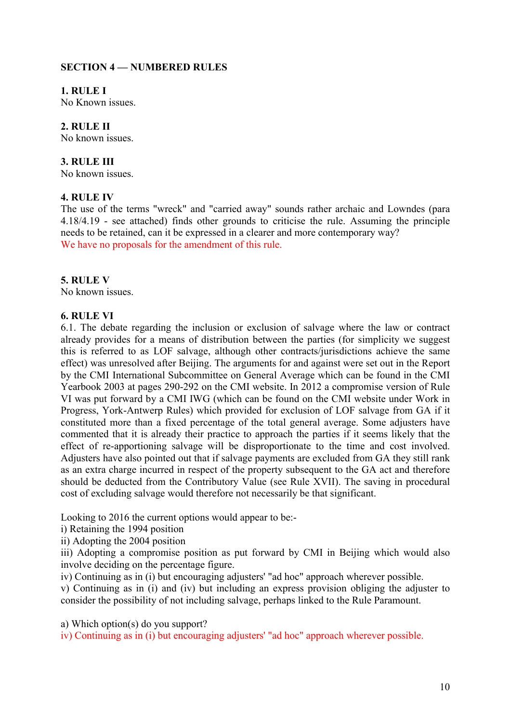### **SECTION 4 — NUMBERED RULES**

**1. RULE I**

No Known issues.

### **2. RULE II**

No known issues.

#### **3. RULE III**

No known issues.

#### **4. RULE IV**

The use of the terms "wreck" and "carried away" sounds rather archaic and Lowndes (para 4.18/4.19 - see attached) finds other grounds to criticise the rule. Assuming the principle needs to be retained, can it be expressed in a clearer and more contemporary way? We have no proposals for the amendment of this rule.

### **5. RULE V**

No known issues.

#### **6. RULE VI**

6.1. The debate regarding the inclusion or exclusion of salvage where the law or contract already provides for a means of distribution between the parties (for simplicity we suggest this is referred to as LOF salvage, although other contracts/jurisdictions achieve the same effect) was unresolved after Beijing. The arguments for and against were set out in the Report by the CMI International Subcommittee on General Average which can be found in the CMI Yearbook 2003 at pages 290-292 on the CMI website. In 2012 a compromise version of Rule VI was put forward by a CMI IWG (which can be found on the CMI website under Work in Progress, York-Antwerp Rules) which provided for exclusion of LOF salvage from GA if it constituted more than a fixed percentage of the total general average. Some adjusters have commented that it is already their practice to approach the parties if it seems likely that the effect of re-apportioning salvage will be disproportionate to the time and cost involved. Adjusters have also pointed out that if salvage payments are excluded from GA they still rank as an extra charge incurred in respect of the property subsequent to the GA act and therefore should be deducted from the Contributory Value (see Rule XVII). The saving in procedural cost of excluding salvage would therefore not necessarily be that significant.

Looking to 2016 the current options would appear to be:-

i) Retaining the 1994 position

ii) Adopting the 2004 position

iii) Adopting a compromise position as put forward by CMI in Beijing which would also involve deciding on the percentage figure.

iv) Continuing as in (i) but encouraging adjusters' "ad hoc" approach wherever possible.

v) Continuing as in (i) and (iv) but including an express provision obliging the adjuster to consider the possibility of not including salvage, perhaps linked to the Rule Paramount.

a) Which option(s) do you support?

iv) Continuing as in (i) but encouraging adjusters' "ad hoc" approach wherever possible.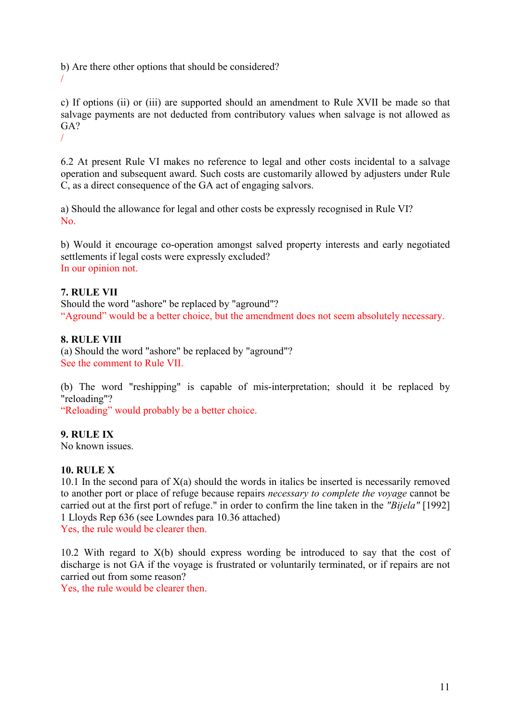b) Are there other options that should be considered? /

c) If options (ii) or (iii) are supported should an amendment to Rule XVII be made so that salvage payments are not deducted from contributory values when salvage is not allowed as GA? /

6.2 At present Rule VI makes no reference to legal and other costs incidental to a salvage operation and subsequent award. Such costs are customarily allowed by adjusters under Rule C, as a direct consequence of the GA act of engaging salvors.

a) Should the allowance for legal and other costs be expressly recognised in Rule VI? No.

b) Would it encourage co-operation amongst salved property interests and early negotiated settlements if legal costs were expressly excluded? In our opinion not.

## **7. RULE VII**

Should the word "ashore" be replaced by "aground"? "Aground" would be a better choice, but the amendment does not seem absolutely necessary.

### **8. RULE VIII**

(a) Should the word "ashore" be replaced by "aground"? See the comment to Rule VII.

(b) The word "reshipping" is capable of mis-interpretation; should it be replaced by "reloading"?

"Reloading" would probably be a better choice.

# **9. RULE IX**

No known issues.

### **10. RULE X**

10.1 In the second para of  $X(a)$  should the words in italics be inserted is necessarily removed to another port or place of refuge because repairs *necessary to complete the voyage* cannot be carried out at the first port of refuge." in order to confirm the line taken in the *"Bijela"* [1992] 1 Lloyds Rep 636 (see Lowndes para 10.36 attached) Yes, the rule would be clearer then.

10.2 With regard to X(b) should express wording be introduced to say that the cost of discharge is not GA if the voyage is frustrated or voluntarily terminated, or if repairs are not carried out from some reason?

Yes, the rule would be clearer then.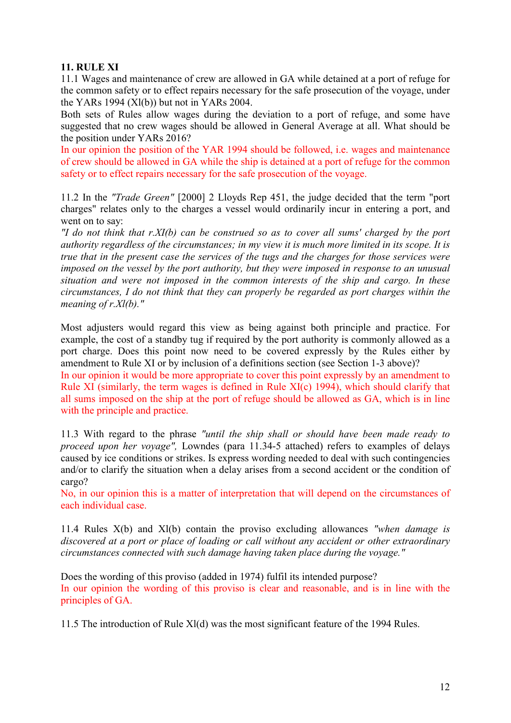### **11. RULE XI**

11.1 Wages and maintenance of crew are allowed in GA while detained at a port of refuge for the common safety or to effect repairs necessary for the safe prosecution of the voyage, under the YARs 1994  $(Xl(b))$  but not in YARs 2004.

Both sets of Rules allow wages during the deviation to a port of refuge, and some have suggested that no crew wages should be allowed in General Average at all. What should be the position under YARs 2016?

In our opinion the position of the YAR 1994 should be followed, i.e. wages and maintenance of crew should be allowed in GA while the ship is detained at a port of refuge for the common safety or to effect repairs necessary for the safe prosecution of the voyage.

11.2 In the *"Trade Green"* [2000] 2 Lloyds Rep 451, the judge decided that the term "port charges" relates only to the charges a vessel would ordinarily incur in entering a port, and went on to say:

*"I do not think that r.XI(b) can be construed so as to cover all sums' charged by the port authority regardless of the circumstances; in my view it is much more limited in its scope. It is true that in the present case the services of the tugs and the charges for those services were imposed on the vessel by the port authority, but they were imposed in response to an unusual situation and were not imposed in the common interests of the ship and cargo. In these circumstances, I do not think that they can properly be regarded as port charges within the meaning of r.Xl(b)."*

Most adjusters would regard this view as being against both principle and practice. For example, the cost of a standby tug if required by the port authority is commonly allowed as a port charge. Does this point now need to be covered expressly by the Rules either by amendment to Rule XI or by inclusion of a definitions section (see Section 1-3 above)?

In our opinion it would be more appropriate to cover this point expressly by an amendment to Rule XI (similarly, the term wages is defined in Rule XI(c) 1994), which should clarify that all sums imposed on the ship at the port of refuge should be allowed as GA, which is in line with the principle and practice.

11.3 With regard to the phrase *"until the ship shall or should have been made ready to proceed upon her voyage",* Lowndes (para 11.34-5 attached) refers to examples of delays caused by ice conditions or strikes. Is express wording needed to deal with such contingencies and/or to clarify the situation when a delay arises from a second accident or the condition of cargo?

No, in our opinion this is a matter of interpretation that will depend on the circumstances of each individual case.

11.4 Rules X(b) and Xl(b) contain the proviso excluding allowances *"when damage is discovered at a port or place of loading or call without any accident or other extraordinary circumstances connected with such damage having taken place during the voyage."*

Does the wording of this proviso (added in 1974) fulfil its intended purpose? In our opinion the wording of this proviso is clear and reasonable, and is in line with the principles of GA.

11.5 The introduction of Rule Xl(d) was the most significant feature of the 1994 Rules.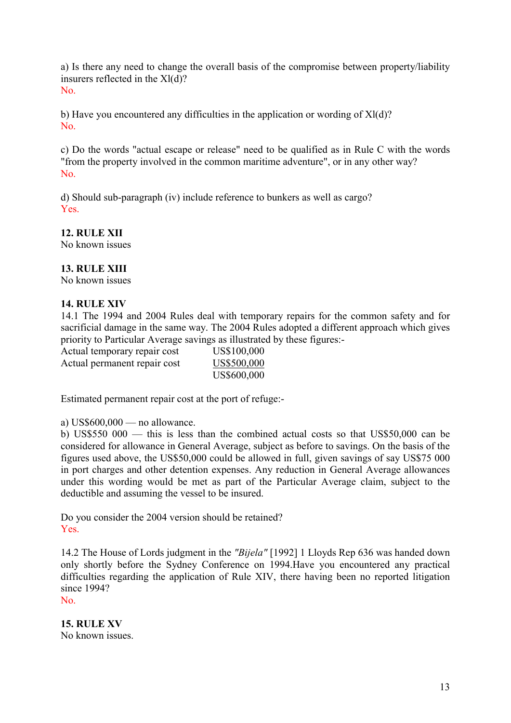a) Is there any need to change the overall basis of the compromise between property/liability insurers reflected in the Xl(d)? No.

b) Have you encountered any difficulties in the application or wording of Xl(d)? No.

c) Do the words "actual escape or release" need to be qualified as in Rule C with the words "from the property involved in the common maritime adventure", or in any other way? No.

d) Should sub-paragraph (iv) include reference to bunkers as well as cargo? Yes.

## **12. RULE XII**

No known issues

## **13. RULE XIII**

No known issues

#### **14. RULE XIV**

14.1 The 1994 and 2004 Rules deal with temporary repairs for the common safety and for sacrificial damage in the same way. The 2004 Rules adopted a different approach which gives priority to Particular Average savings as illustrated by these figures:-

Actual temporary repair cost US\$100,000 Actual permanent repair cost US\$500,000 US\$600,000

Estimated permanent repair cost at the port of refuge:-

a) US\$600,000 — no allowance.

b) US\$550 000 — this is less than the combined actual costs so that US\$50,000 can be considered for allowance in General Average, subject as before to savings. On the basis of the figures used above, the US\$50,000 could be allowed in full, given savings of say US\$75 000 in port charges and other detention expenses. Any reduction in General Average allowances under this wording would be met as part of the Particular Average claim, subject to the deductible and assuming the vessel to be insured.

Do you consider the 2004 version should be retained? Yes.

14.2 The House of Lords judgment in the *"Bijela"* [1992] 1 Lloyds Rep 636 was handed down only shortly before the Sydney Conference on 1994.Have you encountered any practical difficulties regarding the application of Rule XIV, there having been no reported litigation since 1994?

No.

**15. RULE XV** No known issues.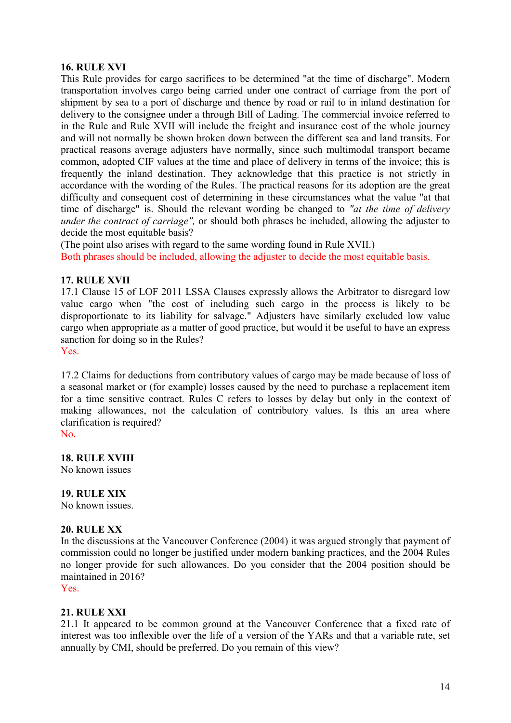#### **16. RULE XVI**

This Rule provides for cargo sacrifices to be determined "at the time of discharge". Modern transportation involves cargo being carried under one contract of carriage from the port of shipment by sea to a port of discharge and thence by road or rail to in inland destination for delivery to the consignee under a through Bill of Lading. The commercial invoice referred to in the Rule and Rule XVII will include the freight and insurance cost of the whole journey and will not normally be shown broken down between the different sea and land transits. For practical reasons average adjusters have normally, since such multimodal transport became common, adopted CIF values at the time and place of delivery in terms of the invoice; this is frequently the inland destination. They acknowledge that this practice is not strictly in accordance with the wording of the Rules. The practical reasons for its adoption are the great difficulty and consequent cost of determining in these circumstances what the value "at that time of discharge" is. Should the relevant wording be changed to *"at the time of delivery under the contract of carriage",* or should both phrases be included, allowing the adjuster to decide the most equitable basis?

(The point also arises with regard to the same wording found in Rule XVII.) Both phrases should be included, allowing the adjuster to decide the most equitable basis.

#### **17. RULE XVII**

17.1 Clause 15 of LOF 2011 LSSA Clauses expressly allows the Arbitrator to disregard low value cargo when "the cost of including such cargo in the process is likely to be disproportionate to its liability for salvage." Adjusters have similarly excluded low value cargo when appropriate as a matter of good practice, but would it be useful to have an express sanction for doing so in the Rules? Yes.

17.2 Claims for deductions from contributory values of cargo may be made because of loss of a seasonal market or (for example) losses caused by the need to purchase a replacement item for a time sensitive contract. Rules C refers to losses by delay but only in the context of making allowances, not the calculation of contributory values. Is this an area where clarification is required?

No.

**18. RULE XVIII**

No known issues

**19. RULE XIX** No known issues.

# **20. RULE XX**

In the discussions at the Vancouver Conference (2004) it was argued strongly that payment of commission could no longer be justified under modern banking practices, and the 2004 Rules no longer provide for such allowances. Do you consider that the 2004 position should be maintained in 2016?

Yes.

#### **21. RULE XXI**

21.1 It appeared to be common ground at the Vancouver Conference that a fixed rate of interest was too inflexible over the life of a version of the YARs and that a variable rate, set annually by CMI, should be preferred. Do you remain of this view?